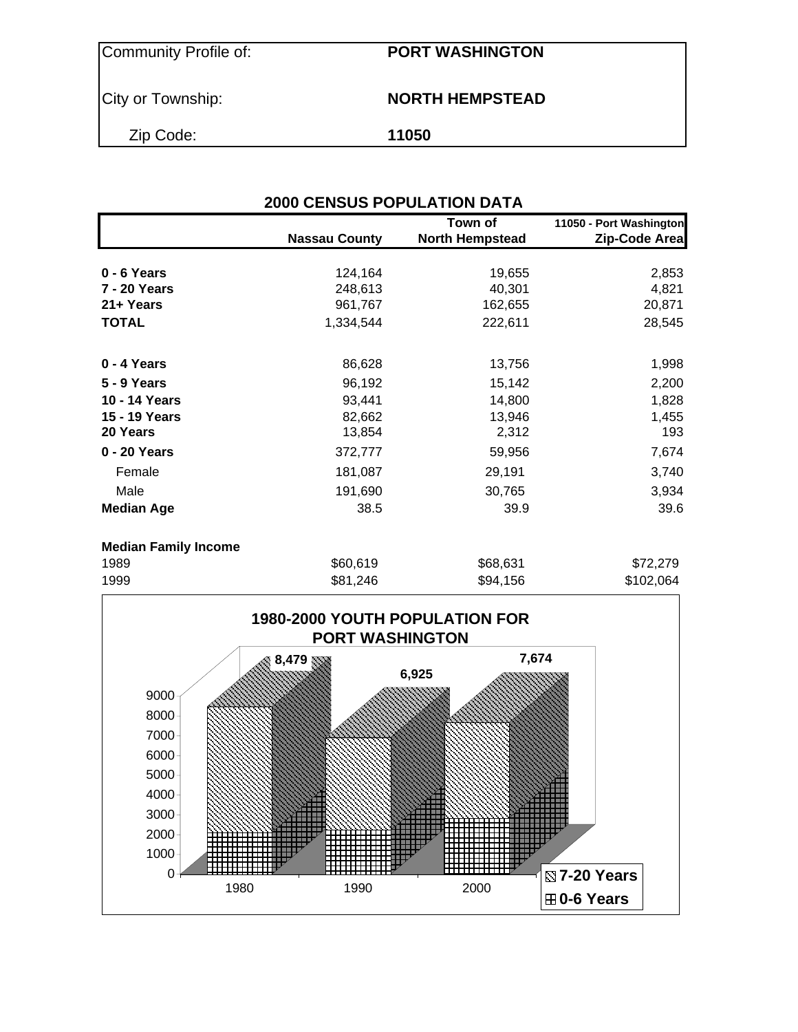Community Profile of: **PORT WASHINGTON**

### City or Township: **NORTH HEMPSTEAD**

Zip Code: **11050**

|                             | <b>2000 CENSUS POPULATION DATA</b> |                                   |                                          |
|-----------------------------|------------------------------------|-----------------------------------|------------------------------------------|
|                             | <b>Nassau County</b>               | Town of<br><b>North Hempstead</b> | 11050 - Port Washington<br>Zip-Code Area |
| 0 - 6 Years                 | 124,164                            | 19,655                            | 2,853                                    |
| 7 - 20 Years                | 248,613                            | 40,301                            | 4,821                                    |
| 21+ Years                   | 961,767                            | 162,655                           | 20,871                                   |
| <b>TOTAL</b>                | 1,334,544                          | 222,611                           | 28,545                                   |
| 0 - 4 Years                 | 86,628                             | 13,756                            | 1,998                                    |
| 5 - 9 Years                 | 96,192                             | 15,142                            | 2,200                                    |
| 10 - 14 Years               | 93,441                             | 14,800                            | 1,828                                    |
| 15 - 19 Years               | 82,662                             | 13,946                            | 1,455                                    |
| 20 Years                    | 13,854                             | 2,312                             | 193                                      |
| 0 - 20 Years                | 372,777                            | 59,956                            | 7,674                                    |
| Female                      | 181,087                            | 29,191                            | 3,740                                    |
| Male                        | 191,690                            | 30,765                            | 3,934                                    |
| <b>Median Age</b>           | 38.5                               | 39.9                              | 39.6                                     |
| <b>Median Family Income</b> |                                    |                                   |                                          |
| 1989                        | \$60,619                           | \$68,631                          | \$72,279                                 |
| 1999                        | \$81,246                           | \$94,156                          | \$102,064                                |

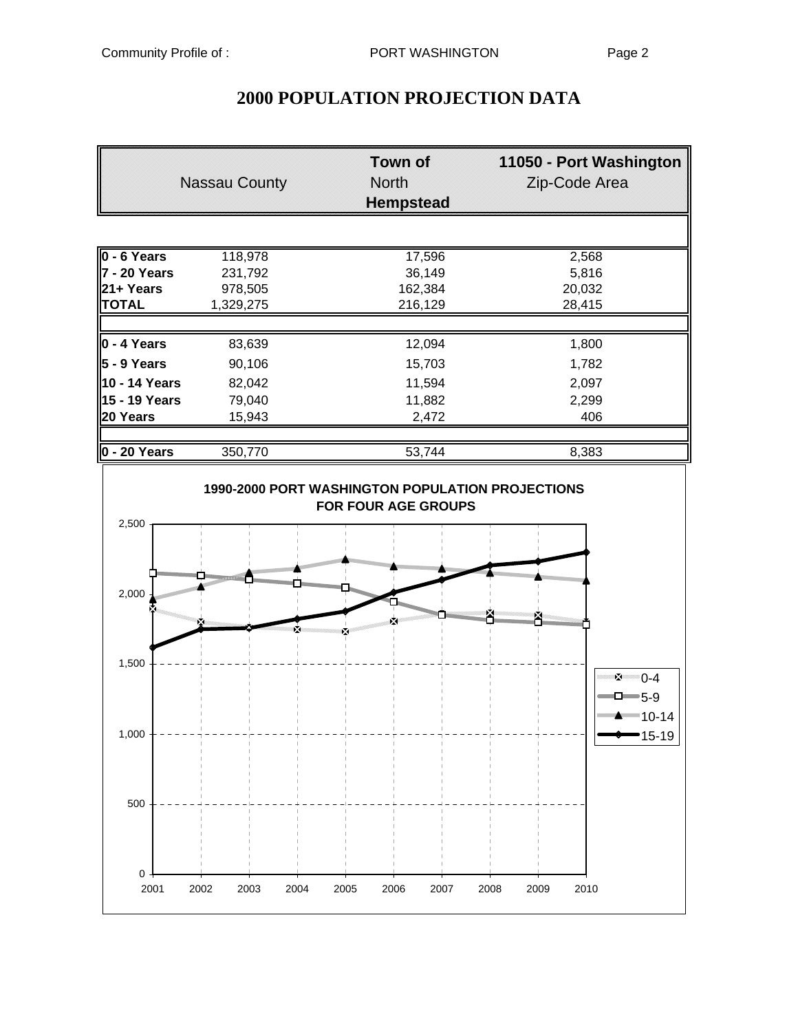|                          | <b>Nassau County</b> | <b>Town of</b><br>North<br><b>Hempstead</b> | 11050 - Port Washington<br>Zip-Code Area |  |
|--------------------------|----------------------|---------------------------------------------|------------------------------------------|--|
|                          |                      |                                             |                                          |  |
| $\overline{0}$ - 6 Years | 118,978              | 17,596                                      | 2,568                                    |  |
| l7 - 20 Years            | 231,792              | 36,149                                      | 5,816                                    |  |
| 21+ Years                | 978,505              | 162,384                                     | 20,032                                   |  |
| <b>TOTAL</b>             | 1,329,275            | 216,129                                     | 28,415                                   |  |
| $\vert$ 0 - 4 Years      | 83,639               | 12,094                                      | 1,800                                    |  |
| 5 - 9 Years              | 90,106               | 15,703                                      | 1,782                                    |  |
| 10 - 14 Years            | 82,042               | 11,594                                      | 2,097                                    |  |
| 15 - 19 Years            | 79,040               | 11,882                                      | 2,299                                    |  |
| 20 Years                 | 15,943               | 2,472                                       | 406                                      |  |
| $0 - 20$ Years           | 350,770              | 53,744                                      | 8,383                                    |  |

# **2000 POPULATION PROJECTION DATA**

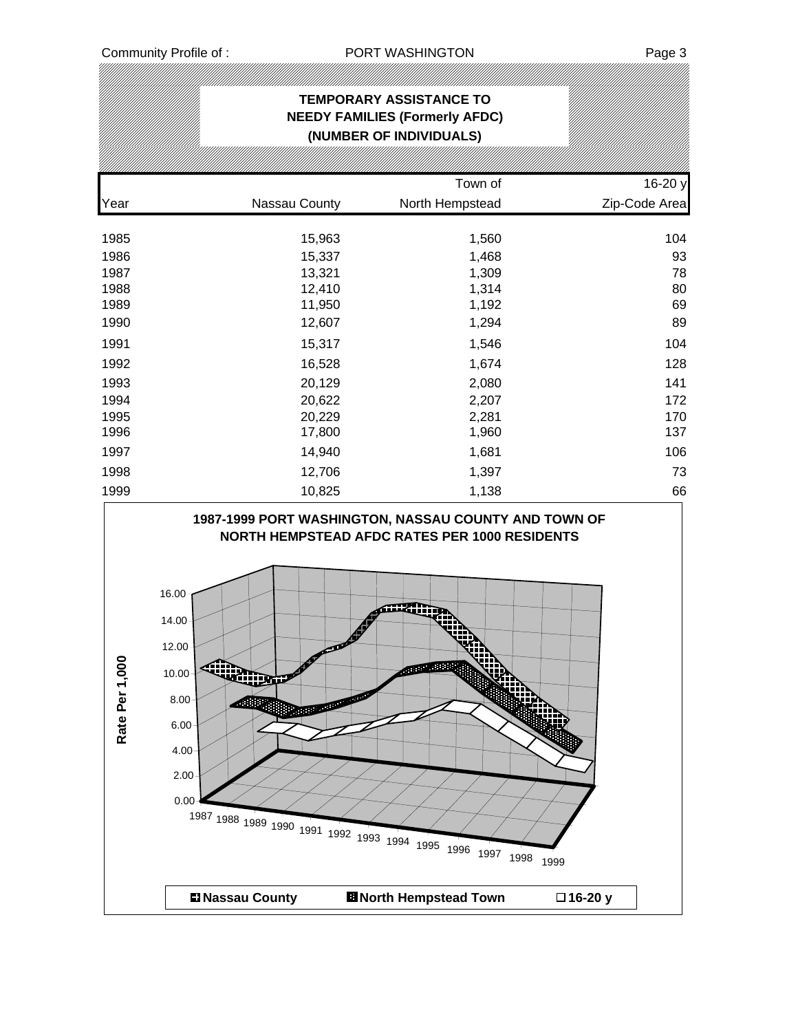# **TEMPORARY ASSISTANCE TO NEEDY FAMILIES (Formerly AFDC) (NUMBER OF INDIVIDUALS)** Town of 16-20 y Year Nassau County North Hempstead Zip-Code Area 1985 15,963 1,560 104 1986 15,337 1,468 93 1987 13,321 1,309 78 1988 12,410 1,314 80 1989 11,950 1,192 69 1990 12,607 1,294 89 1991 15,317 1,546 104 1992 16,528 1,674 128 1993 20,129 2,080 141 1994 20,622 2,207 172 1995 20,229 2,281 170 1996 17,800 1,960 137 1997 14,940 1,681 106 1998 12,706 1,397 73 1999 10,825 1,138 66 **1987-1999 PORT WASHINGTON, NASSAU COUNTY AND TOWN OF NORTH HEMPSTEAD AFDC RATES PER 1000 RESIDENTS** 16.00 14.00 12.00 Rate Per 1,000 **Rate Per 1,0002002年** 10.00 8.00 6.00 4.00 2.00  $0.00 -$ <sup>1987</sup> <sup>1988</sup> <sup>1989</sup> <sup>1990</sup> <sup>1991</sup> <sup>1992</sup> <sup>1993</sup> <sup>1994</sup> <sup>1995</sup> <sup>1996</sup> <sup>1997</sup> <sup>1998</sup> <sup>1999</sup>  $\blacksquare$  **Nassau County ■ North Hempstead Town □ 16-20 y**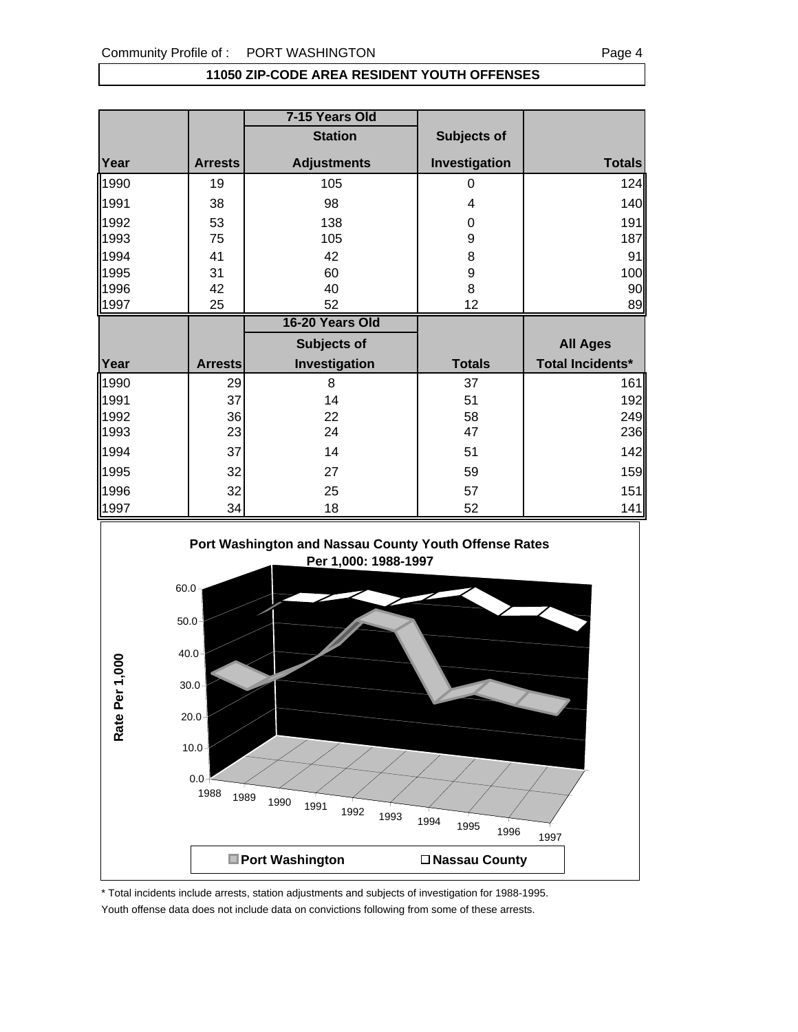#### **11050 ZIP-CODE AREA RESIDENT YOUTH OFFENSES**

|      |                | 7-15 Years Old     |               |                         |
|------|----------------|--------------------|---------------|-------------------------|
|      |                | <b>Station</b>     | Subjects of   |                         |
| Year | <b>Arrests</b> | <b>Adjustments</b> | Investigation | <b>Totals</b>           |
| 1990 | 19             | 105                | 0             | 124                     |
| 1991 | 38             | 98                 | 4             | 140                     |
| 1992 | 53             | 138                | 0             | 191                     |
| 1993 | 75             | 105                | 9             | 187                     |
| 1994 | 41             | 42                 | 8             | 91                      |
| 1995 | 31             | 60                 | 9             | 100                     |
| 1996 | 42             | 40                 | 8             | 90                      |
| 1997 | 25             | 52                 | 12            | 89                      |
|      |                |                    |               |                         |
|      |                | 16-20 Years Old    |               |                         |
|      |                | Subjects of        |               | <b>All Ages</b>         |
| Year | <b>Arrests</b> | Investigation      | <b>Totals</b> | <b>Total Incidents*</b> |
| 1990 | 29             | 8                  | 37            |                         |
| 1991 | 37             | 14                 | 51            | 161<br>192              |
| 1992 | 36             | 22                 | 58            |                         |
| 1993 | 23             | 24                 | 47            | 249<br>236              |
| 1994 | 37             | 14                 | 51            |                         |
| 1995 | 32             | 27                 | 59            |                         |
| 1996 | 32             | 25                 | 57            | 142<br>159<br>151       |



\* Total incidents include arrests, station adjustments and subjects of investigation for 1988-1995. Youth offense data does not include data on convictions following from some of these arrests.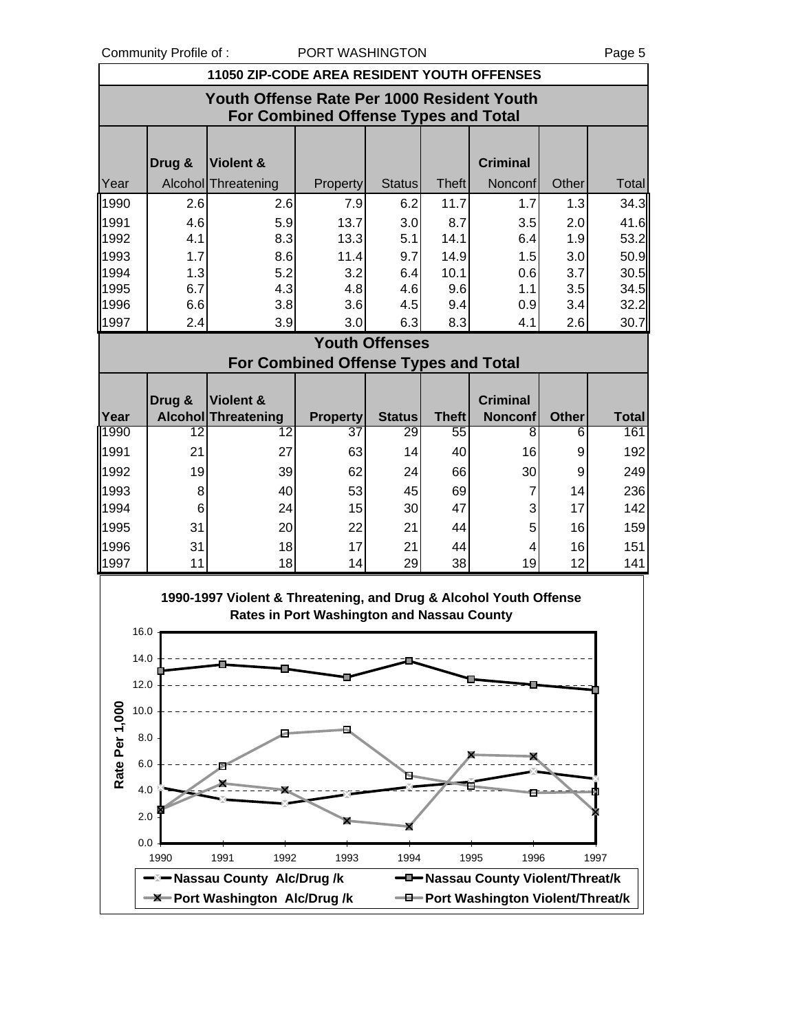Community Profile of : PORT WASHINGTON Page 5

|                |             | <b>11050 ZIP-CODE AREA RESIDENT YOUTH OFFENSES</b>                |                                             |                       |              |                                     |              |              |
|----------------|-------------|-------------------------------------------------------------------|---------------------------------------------|-----------------------|--------------|-------------------------------------|--------------|--------------|
|                |             | Youth Offense Rate Per 1000 Resident Youth                        | <b>For Combined Offense Types and Total</b> |                       |              |                                     |              |              |
|                |             |                                                                   |                                             |                       |              |                                     |              |              |
|                | Drug &      | Violent &                                                         |                                             |                       |              | <b>Criminal</b>                     |              |              |
| Year           |             | Alcohol Threatening                                               | Property                                    | <b>Status</b>         | <b>Theft</b> | Nonconf                             | Other        | Total        |
| 1990           | 2.6         | 2.6                                                               | 7.9                                         | 6.2                   | 11.7         | 1.7                                 | 1.3          | 34.3         |
| 1991           | 4.6         | 5.9                                                               | 13.7                                        | 3.0<br>5.1            | 8.7<br>14.1  | 3.5                                 | 2.0<br>1.9   | 41.6         |
| 1992<br>1993   | 4.1<br>1.7  | 8.3<br>8.6                                                        | 13.3<br>11.4                                | 9.7                   | 14.9         | 6.4<br>1.5                          | 3.0          | 53.2<br>50.9 |
| 1994           | 1.3         | 5.2                                                               | 3.2                                         | 6.4                   | 10.1         | 0.6                                 | 3.7          | 30.5         |
| 1995           | 6.7         | 4.3                                                               | 4.8                                         | 4.6                   | 9.6          | 1.1                                 | 3.5          | 34.5         |
| 1996           | 6.6         | 3.8                                                               | 3.6                                         | 4.5                   | 9.4          | 0.9                                 | 3.4          | 32.2         |
| 1997           | 2.4         | 3.9                                                               | 3.0                                         | 6.3                   | 8.3          | 4.1                                 | 2.6          | 30.7         |
|                |             |                                                                   |                                             | <b>Youth Offenses</b> |              |                                     |              |              |
|                |             |                                                                   | <b>For Combined Offense Types and Total</b> |                       |              |                                     |              |              |
|                | Drug &      | Violent &                                                         |                                             |                       |              | <b>Criminal</b>                     |              |              |
| Year           |             | <b>Alcohol Threatening</b>                                        | <b>Property</b>                             | <b>Status</b>         | <b>Theft</b> | <b>Nonconf</b>                      | <b>Other</b> | <b>Total</b> |
| 1990           | 12          | 12                                                                | 37                                          | 29                    | 55           | $\overline{\bf 8}$                  | 6            | 161          |
| 1991           | 21          | 27                                                                | 63                                          | 14                    | 40           | 16                                  | 9            | 192          |
| 1992           | 19          | 39                                                                | 62                                          | 24                    | 66           | 30                                  | 9            | 249          |
| 1993           | 8           | 40                                                                | 53                                          | 45                    | 69           | 7                                   | 14           | 236          |
| 1994           | 6           | 24                                                                | 15                                          | 30                    | 47           | 3                                   | 17           | 142          |
| 1995<br>1996   | 31<br>31    | 20<br>18                                                          | 22<br>17                                    | 21<br>21              | 44<br>44     | 5<br>4                              | 16<br>16     | 159<br>151   |
| 1997           | 11          | 18                                                                | 14                                          | 29                    | 38           | 19                                  | 12           | 141          |
|                |             |                                                                   |                                             |                       |              |                                     |              |              |
|                |             | 1990-1997 Violent & Threatening, and Drug & Alcohol Youth Offense |                                             |                       |              |                                     |              |              |
|                | 16.0        |                                                                   | Rates in Port Washington and Nassau County  |                       |              |                                     |              |              |
|                |             |                                                                   |                                             |                       |              |                                     |              |              |
|                | 14.0        |                                                                   |                                             |                       |              |                                     |              |              |
|                | 12.0        |                                                                   |                                             |                       |              |                                     |              |              |
|                | 10.0        |                                                                   |                                             |                       |              |                                     |              |              |
|                |             |                                                                   |                                             |                       |              |                                     |              |              |
|                | 8.0         |                                                                   |                                             |                       |              |                                     |              |              |
| Rate Per 1,000 | 6.0         |                                                                   |                                             | f                     |              |                                     |              |              |
|                | 4.0         |                                                                   |                                             |                       |              |                                     |              |              |
|                | 2.0         |                                                                   |                                             |                       |              |                                     |              |              |
|                |             |                                                                   |                                             |                       |              |                                     |              |              |
|                | 0.0<br>1990 | 1991<br>1992                                                      | 1993                                        | 1994                  |              | 1995<br>1996                        |              | 1997         |
|                |             | —⊠— Nassau County Alc/Drug /k                                     |                                             |                       |              | -D-Nassau County Violent/Threat/k   |              |              |
|                |             | <b>-X</b> -Port Washington Alc/Drug/k                             |                                             |                       |              | -D-Port Washington Violent/Threat/k |              |              |
|                |             |                                                                   |                                             |                       |              |                                     |              |              |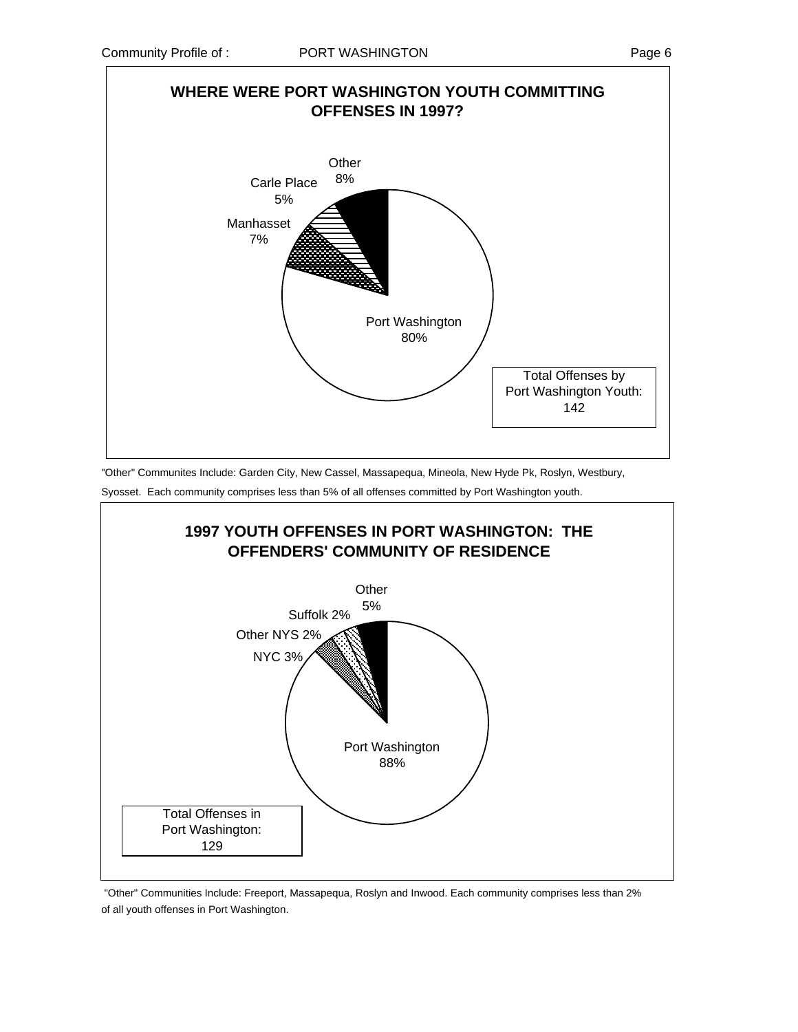

"Other" Communites Include: Garden City, New Cassel, Massapequa, Mineola, New Hyde Pk, Roslyn, Westbury, Syosset. Each community comprises less than 5% of all offenses committed by Port Washington youth.



 "Other" Communities Include: Freeport, Massapequa, Roslyn and Inwood. Each community comprises less than 2% of all youth offenses in Port Washington.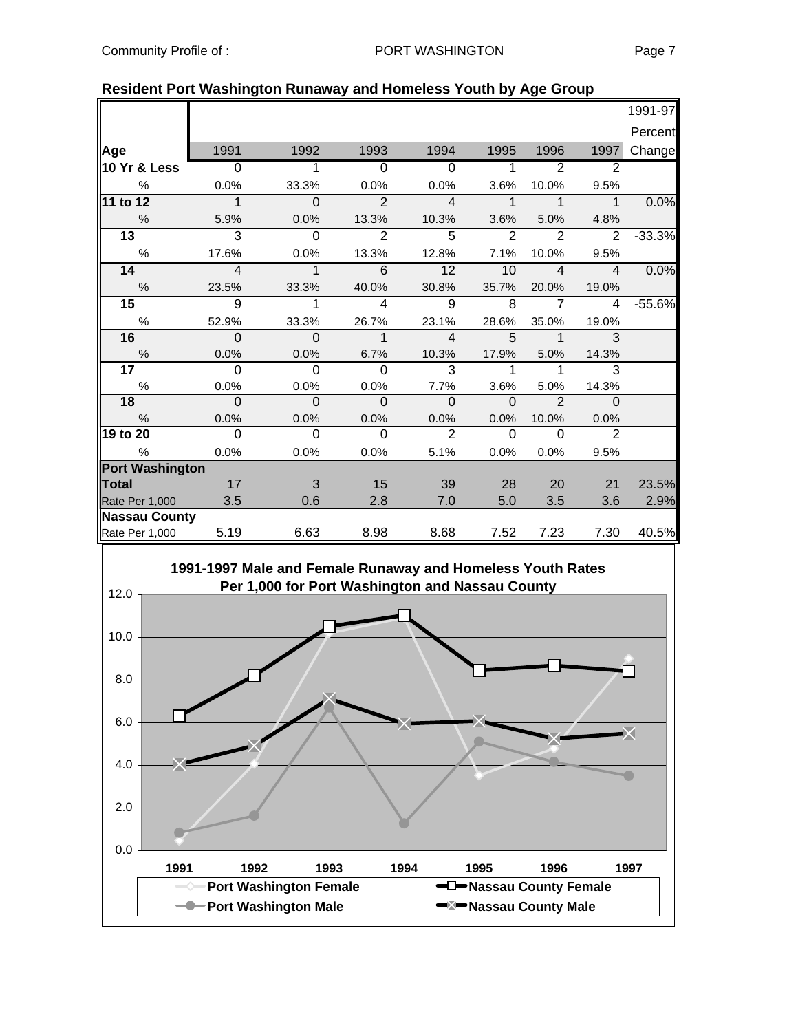|--|--|

|                        |                |                |                         |                |             |                |                         | 1991-97  |
|------------------------|----------------|----------------|-------------------------|----------------|-------------|----------------|-------------------------|----------|
|                        |                |                |                         |                |             |                |                         | Percent  |
| Age                    | 1991           | 1992           | 1993                    | 1994           | 1995        | 1996           | 1997                    | Change   |
| 10 Yr & Less           | $\overline{0}$ |                | $\overline{0}$          | $\Omega$       | 1           | 2              | 2                       |          |
| $\%$                   | 0.0%           | 33.3%          | 0.0%                    | 0.0%           | 3.6%        | 10.0%          | 9.5%                    |          |
| 11 to 12               | $\overline{1}$ | $\mathbf 0$    | $\overline{2}$          | $\overline{4}$ | $\mathbf 1$ | $\mathbf 1$    | $\overline{1}$          | 0.0%     |
| $\%$                   | 5.9%           | 0.0%           | 13.3%                   | 10.3%          | 3.6%        | 5.0%           | 4.8%                    |          |
| 13                     | 3              | $\overline{0}$ | $\overline{2}$          | $\overline{5}$ | 2           | $\overline{2}$ | 2                       | $-33.3%$ |
| $\%$                   | 17.6%          | 0.0%           | 13.3%                   | 12.8%          | 7.1%        | 10.0%          | 9.5%                    |          |
| 14                     | $\overline{4}$ | $\mathbf{1}$   | 6                       | 12             | 10          | $\overline{4}$ | $\overline{\mathbf{4}}$ | 0.0%     |
| $\frac{0}{0}$          | 23.5%          | 33.3%          | 40.0%                   | 30.8%          | 35.7%       | 20.0%          | 19.0%                   |          |
| 15                     | $\overline{9}$ | 1              | $\overline{\mathbf{4}}$ | $\overline{9}$ | 8           | $\overline{7}$ | $\overline{4}$          | $-55.6%$ |
| $\%$                   | 52.9%          | 33.3%          | 26.7%                   | 23.1%          | 28.6%       | 35.0%          | 19.0%                   |          |
| 16                     | $\Omega$       | $\Omega$       | $\mathbf{1}$            | $\overline{4}$ | 5           | $\overline{1}$ | 3                       |          |
| $\%$                   | 0.0%           | 0.0%           | 6.7%                    | 10.3%          | 17.9%       | 5.0%           | 14.3%                   |          |
| 17 <sub>1</sub>        | $\Omega$       | $\Omega$       | $\Omega$                | 3              | 1           | 1              | 3                       |          |
| $\%$                   | 0.0%           | 0.0%           | 0.0%                    | 7.7%           | 3.6%        | 5.0%           | 14.3%                   |          |
| 18                     | $\Omega$       | $\Omega$       | $\Omega$                | $\mathbf{0}$   | $\Omega$    | $\mathcal{P}$  | $\Omega$                |          |
| $\%$                   | 0.0%           | 0.0%           | 0.0%                    | 0.0%           | 0.0%        | 10.0%          | 0.0%                    |          |
| 19 to 20               | $\overline{0}$ | $\overline{0}$ | $\overline{0}$          | $\overline{2}$ | $\Omega$    | $\Omega$       | $\overline{2}$          |          |
| %                      | 0.0%           | 0.0%           | 0.0%                    | 5.1%           | 0.0%        | 0.0%           | 9.5%                    |          |
| <b>Port Washington</b> |                |                |                         |                |             |                |                         |          |
| <b>Total</b>           | 17             | 3              | 15                      | 39             | 28          | 20             | 21                      | 23.5%    |
| Rate Per 1,000         | 3.5            | 0.6            | 2.8                     | 7.0            | 5.0         | 3.5            | 3.6                     | 2.9%     |
| <b>Nassau County</b>   |                |                |                         |                |             |                |                         |          |
| Rate Per 1,000         | 5.19           | 6.63           | 8.98                    | 8.68           | 7.52        | 7.23           | 7.30                    | 40.5%    |

### **Resident Port Washington Runaway and Homeless Youth by Age Group**

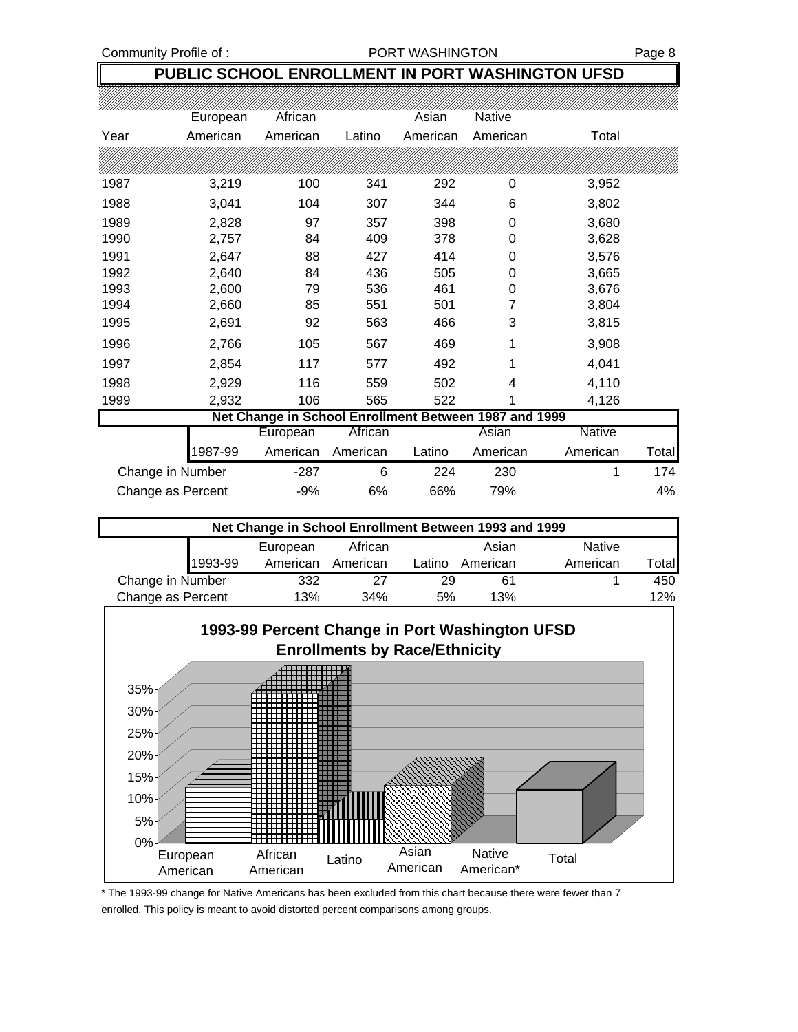#### Community Profile of : <br>
PORT WASHINGTON Page 8

### **PUBLIC SCHOOL ENROLLMENT IN PORT WASHINGTON UFSD**

|                   | European | African                                               |          | Asian    | Native   |                   |
|-------------------|----------|-------------------------------------------------------|----------|----------|----------|-------------------|
| Year              | American | American                                              | Latino   | American | American | Total             |
|                   |          |                                                       |          |          |          |                   |
| 1987              | 3,219    | 100                                                   | 341      | 292      | 0        | 3,952             |
| 1988              | 3,041    | 104                                                   | 307      | 344      | 6        | 3,802             |
| 1989              | 2,828    | 97                                                    | 357      | 398      | 0        | 3,680             |
| 1990              | 2,757    | 84                                                    | 409      | 378      | 0        | 3,628             |
| 1991              | 2,647    | 88                                                    | 427      | 414      | 0        | 3,576             |
| 1992              | 2,640    | 84                                                    | 436      | 505      | 0        | 3,665             |
| 1993              | 2,600    | 79                                                    | 536      | 461      | 0        | 3,676             |
| 1994              | 2,660    | 85                                                    | 551      | 501      | 7        | 3,804             |
| 1995              | 2,691    | 92                                                    | 563      | 466      | 3        | 3,815             |
| 1996              | 2,766    | 105                                                   | 567      | 469      | 1        | 3,908             |
| 1997              | 2,854    | 117                                                   | 577      | 492      | 1        | 4,041             |
| 1998              | 2,929    | 116                                                   | 559      | 502      | 4        | 4,110             |
| 1999              | 2,932    | 106                                                   | 565      | 522      | 1        | 4,126             |
|                   |          | Net Change in School Enrollment Between 1987 and 1999 |          |          |          |                   |
|                   |          | European                                              | African  |          | Asian    | Native            |
|                   | 987-99   | American                                              | American | Latino   | American | American<br>Total |
| Change in Number  |          | $-287$                                                | 6        | 224      | 230      | 174<br>1          |
| Change as Percent |          | $-9%$                                                 | 6%       | 66%      | 79%      | 4%                |

| Net Change in School Enrollment Between 1993 and 1999 |         |                                              |          |        |          |               |        |  |  |
|-------------------------------------------------------|---------|----------------------------------------------|----------|--------|----------|---------------|--------|--|--|
|                                                       |         | European                                     | African  |        | Asian    | <b>Native</b> |        |  |  |
|                                                       | 1993-99 | American                                     | American | Latino | American | American      | Totall |  |  |
| Change in Number                                      |         | 332                                          | 27       | 29     | 61       |               | 450    |  |  |
|                                                       |         | Change as Percent<br>13%<br>34%<br>13%<br>5% |          |        |          |               |        |  |  |



\* The 1993-99 change for Native Americans has been excluded from this chart because there were fewer than 7 enrolled. This policy is meant to avoid distorted percent comparisons among groups.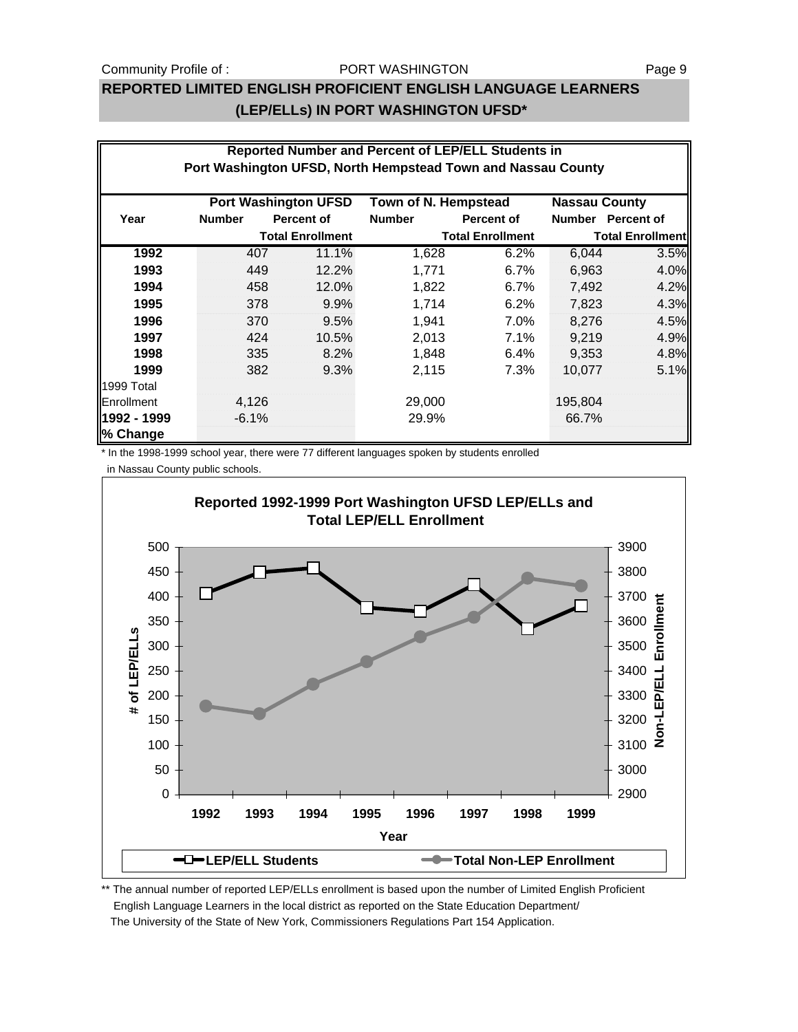#### Community Profile of : The Solution PORT WASHINGTON The State of the Page 9

#### PORT WASHINGTON

## **REPORTED LIMITED ENGLISH PROFICIENT ENGLISH LANGUAGE LEARNERS (LEP/ELLs) IN PORT WASHINGTON UFSD\***

|                                                                             | Reported Number and Percent of LEP/ELL Students in |                                                              |               |                         |         |                         |  |  |  |
|-----------------------------------------------------------------------------|----------------------------------------------------|--------------------------------------------------------------|---------------|-------------------------|---------|-------------------------|--|--|--|
|                                                                             |                                                    | Port Washington UFSD, North Hempstead Town and Nassau County |               |                         |         |                         |  |  |  |
| <b>Port Washington UFSD</b><br>Town of N. Hempstead<br><b>Nassau County</b> |                                                    |                                                              |               |                         |         |                         |  |  |  |
| Year                                                                        | <b>Number</b>                                      | <b>Percent of</b>                                            | <b>Number</b> | Percent of              |         | Number Percent of       |  |  |  |
|                                                                             |                                                    | <b>Total Enrollment</b>                                      |               | <b>Total Enrollment</b> |         | <b>Total Enrollment</b> |  |  |  |
| 1992                                                                        | 407                                                | 11.1%                                                        | 1,628         | 6.2%                    | 6,044   | 3.5%                    |  |  |  |
| 1993                                                                        | 449                                                | 12.2%                                                        | 1,771         | 6.7%                    | 6,963   | 4.0%                    |  |  |  |
| 1994                                                                        | 458                                                | 12.0%                                                        | 1,822         | $6.7\%$                 | 7,492   | 4.2%                    |  |  |  |
| 1995                                                                        | 378                                                | 9.9%                                                         | 1,714         | 6.2%                    | 7,823   | 4.3%                    |  |  |  |
| 1996                                                                        | 370                                                | 9.5%                                                         | 1,941         | $7.0\%$                 | 8,276   | 4.5%                    |  |  |  |
| 1997                                                                        | 424                                                | 10.5%                                                        | 2,013         | 7.1%                    | 9,219   | 4.9%                    |  |  |  |
| 1998                                                                        | 335                                                | 8.2%                                                         | 1,848         | 6.4%                    | 9,353   | 4.8%                    |  |  |  |
| 1999                                                                        | 382                                                | 9.3%                                                         | 2,115         | 7.3%                    | 10,077  | 5.1%                    |  |  |  |
| 1999 Total                                                                  |                                                    |                                                              |               |                         |         |                         |  |  |  |
| Enrollment                                                                  | 4,126                                              |                                                              | 29,000        |                         | 195,804 |                         |  |  |  |
| 1992 - 1999                                                                 | $-6.1%$                                            |                                                              | 29.9%         |                         | 66.7%   |                         |  |  |  |
| ∥% Change                                                                   |                                                    |                                                              |               |                         |         |                         |  |  |  |

\* In the 1998-1999 school year, there were 77 different languages spoken by students enrolled

in Nassau County public schools.



\*\* The annual number of reported LEP/ELLs enrollment is based upon the number of Limited English Proficient English Language Learners in the local district as reported on the State Education Department/ The University of the State of New York, Commissioners Regulations Part 154 Application.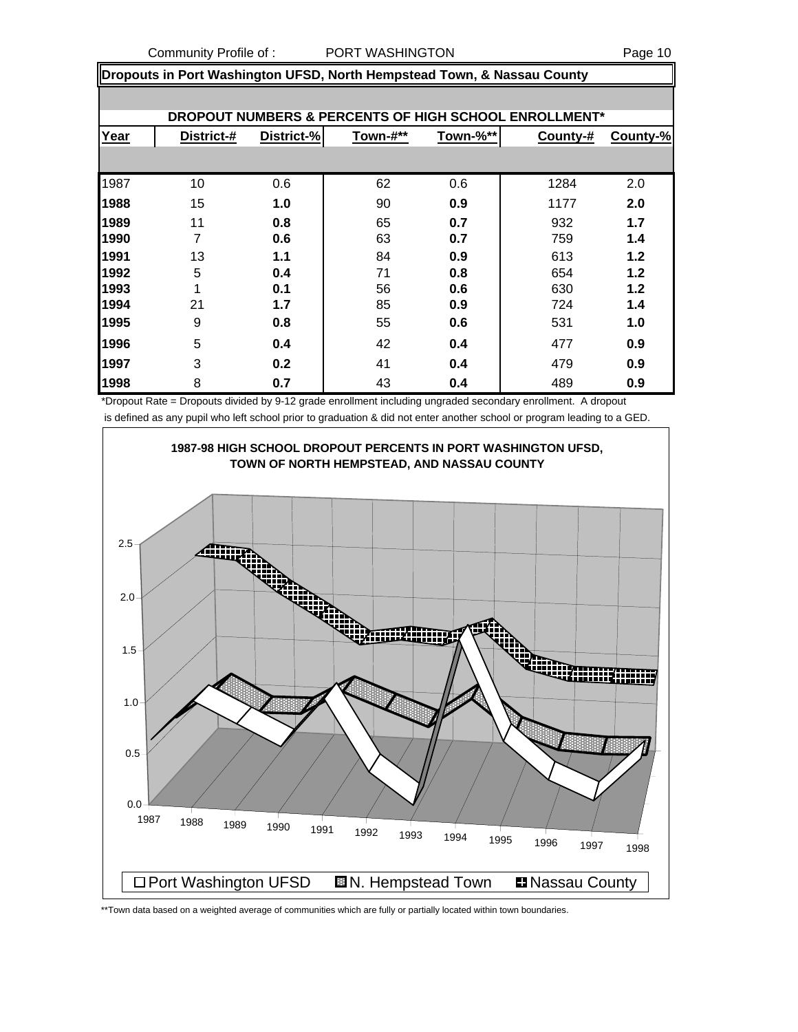Community Profile of : PORT WASHINGTON Page 10

**Dropouts in Port Washington UFSD, North Hempstead Town, & Nassau County**

|      |            |            |          |          | DROPOUT NUMBERS & PERCENTS OF HIGH SCHOOL ENROLLMENT* |          |
|------|------------|------------|----------|----------|-------------------------------------------------------|----------|
| Year | District-# | District-% | Town-#** | Town-%** | County-#                                              | County-% |
|      |            |            |          |          |                                                       |          |
| 1987 | 10         | 0.6        | 62       | 0.6      | 1284                                                  | 2.0      |
| 1988 | 15         | 1.0        | 90       | 0.9      | 1177                                                  | 2.0      |
| 1989 | 11         | 0.8        | 65       | 0.7      | 932                                                   | 1.7      |
| 1990 | 7          | 0.6        | 63       | 0.7      | 759                                                   | 1.4      |
| 1991 | 13         | 1.1        | 84       | 0.9      | 613                                                   | 1.2      |
| 1992 | 5          | 0.4        | 71       | 0.8      | 654                                                   | 1.2      |
| 1993 | 4          | 0.1        | 56       | 0.6      | 630                                                   | 1.2      |
| 1994 | 21         | 1.7        | 85       | 0.9      | 724                                                   | 1.4      |
| 1995 | 9          | 0.8        | 55       | 0.6      | 531                                                   | 1.0      |
| 1996 | 5          | 0.4        | 42       | 0.4      | 477                                                   | 0.9      |
| 1997 | 3          | 0.2        | 41       | 0.4      | 479                                                   | 0.9      |
| 1998 | 8          | 0.7        | 43       | 0.4      | 489                                                   | 0.9      |

\*Dropout Rate = Dropouts divided by 9-12 grade enrollment including ungraded secondary enrollment. A dropout is defined as any pupil who left school prior to graduation & did not enter another school or program leading to a GED.



\*\*Town data based on a weighted average of communities which are fully or partially located within town boundaries.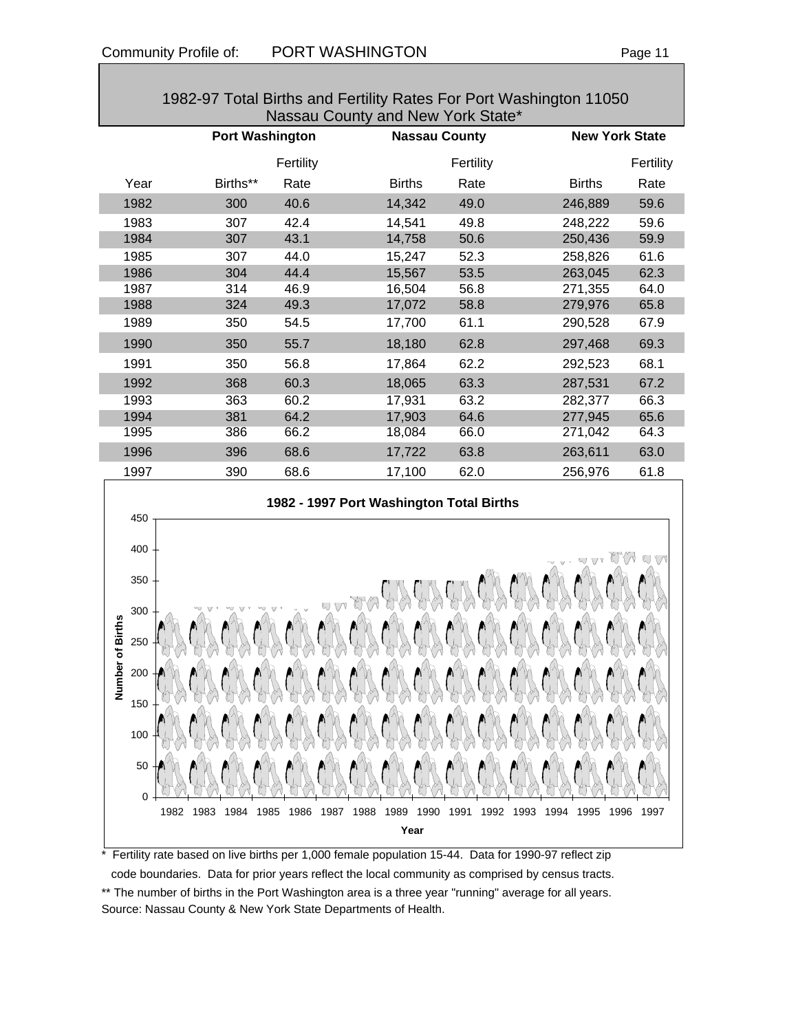|                         |                        |           | Nassau County and New York State*        |           |                       |           |
|-------------------------|------------------------|-----------|------------------------------------------|-----------|-----------------------|-----------|
|                         | <b>Port Washington</b> |           | <b>Nassau County</b>                     |           | <b>New York State</b> |           |
|                         |                        | Fertility |                                          | Fertility |                       | Fertility |
| Year                    | Births**               | Rate      | <b>Births</b>                            | Rate      | <b>Births</b>         | Rate      |
| 1982                    | 300                    | 40.6      | 14,342                                   | 49.0      | 246,889               | 59.6      |
| 1983                    | 307                    | 42.4      | 14,541                                   | 49.8      | 248,222               | 59.6      |
| 1984                    | 307                    | 43.1      | 14,758                                   | 50.6      | 250,436               | 59.9      |
| 1985                    | 307                    | 44.0      | 15,247                                   | 52.3      | 258,826               | 61.6      |
| 1986                    | 304                    | 44.4      | 15,567                                   | 53.5      | 263,045               | 62.3      |
| 1987                    | 314                    | 46.9      | 16,504                                   | 56.8      | 271,355               | 64.0      |
| 1988                    | 324                    | 49.3      | 17,072                                   | 58.8      | 279,976               | 65.8      |
| 1989                    | 350                    | 54.5      | 17,700                                   | 61.1      | 290,528               | 67.9      |
| 1990                    | 350                    | 55.7      | 18,180                                   | 62.8      | 297,468               | 69.3      |
| 1991                    | 350                    | 56.8      | 17,864                                   | 62.2      | 292,523               | 68.1      |
| 1992                    | 368                    | 60.3      | 18,065                                   | 63.3      | 287,531               | 67.2      |
| 1993                    | 363                    | 60.2      | 17,931                                   | 63.2      | 282,377               | 66.3      |
| 1994                    | 381                    | 64.2      | 17,903                                   | 64.6      | 277,945               | 65.6      |
| 1995                    | 386                    | 66.2      | 18,084                                   | 66.0      | 271,042               | 64.3      |
| 1996                    | 396                    | 68.6      | 17,722                                   | 63.8      | 263,611               | 63.0      |
| 1997                    | 390                    | 68.6      | 17,100                                   | 62.0      | 256,976               | 61.8      |
|                         |                        |           | 1982 - 1997 Port Washington Total Births |           |                       |           |
| 450                     |                        |           |                                          |           |                       |           |
| 400                     |                        |           |                                          |           |                       | L[X]      |
| 350                     |                        |           |                                          |           |                       |           |
| 300<br>250              |                        |           |                                          |           |                       |           |
| Number of Births<br>200 |                        |           |                                          |           |                       |           |

# 1982-97 Total Births and Fertility Rates For Port Washington 11050

\* Fertility rate based on live births per 1,000 female population 15-44. Data for 1990-97 reflect zip code boundaries. Data for prior years reflect the local community as comprised by census tracts. \*\* The number of births in the Port Washington area is a three year "running" average for all years. Source: Nassau County & New York State Departments of Health.

1982 1983 1984 1985 1986 1987 1988 1989 1990 1991 1992 1993 1994 1995 1996 1997 **Year**

0

50

100

150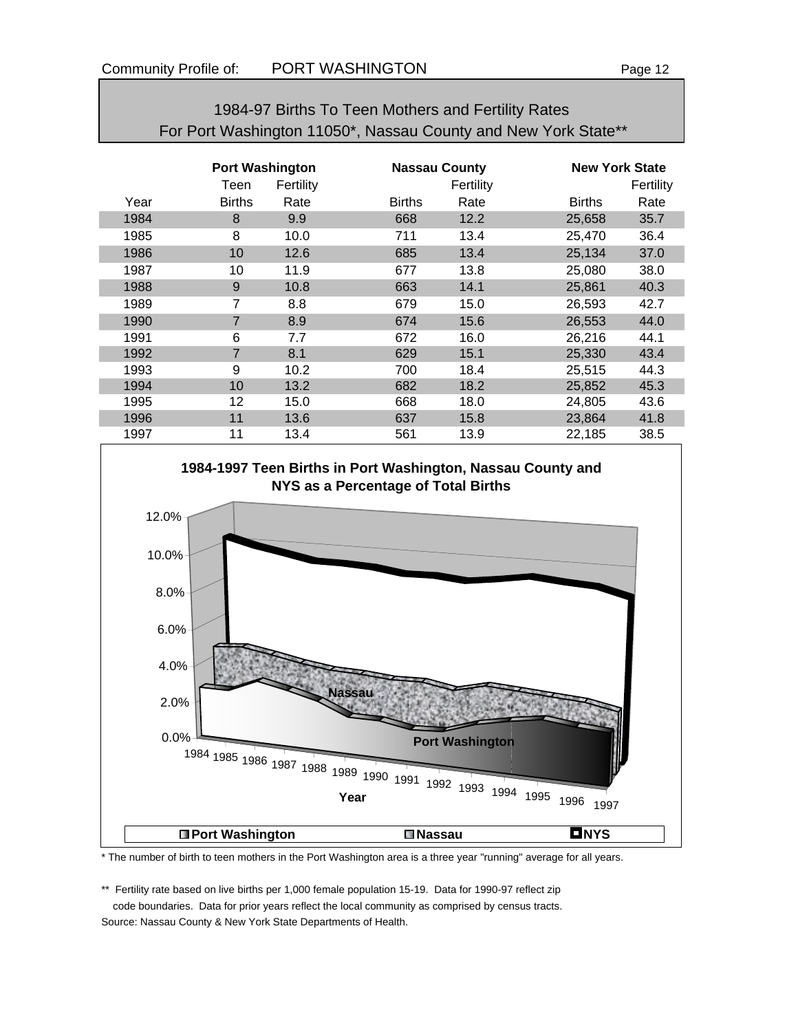|      | For Port Washington 11050*, Nassau County and New York State** |                   |                      |                   |               |                       |  |  |  |
|------|----------------------------------------------------------------|-------------------|----------------------|-------------------|---------------|-----------------------|--|--|--|
|      | <b>Port Washington</b>                                         |                   | <b>Nassau County</b> |                   |               | <b>New York State</b> |  |  |  |
| Year | Teen<br><b>Births</b>                                          | Fertility<br>Rate | <b>Births</b>        | Fertility<br>Rate | <b>Births</b> | Fertility<br>Rate     |  |  |  |
| 1984 | 8                                                              | 9.9               | 668                  | 12.2              | 25,658        | 35.7                  |  |  |  |
| 1985 | 8                                                              | 10.0              | 711                  | 13.4              | 25,470        | 36.4                  |  |  |  |
| 1986 | 10                                                             | 12.6              | 685                  | 13.4              | 25,134        | 37.0                  |  |  |  |
| 1987 | 10                                                             | 11.9              | 677                  | 13.8              | 25,080        | 38.0                  |  |  |  |
| 1988 | 9                                                              | 10.8              | 663                  | 14.1              | 25,861        | 40.3                  |  |  |  |
| 1989 | 7                                                              | 8.8               | 679                  | 15.0              | 26,593        | 42.7                  |  |  |  |
| 1990 | 7                                                              | 8.9               | 674                  | 15.6              | 26,553        | 44.0                  |  |  |  |
| 1991 | 6                                                              | 7.7               | 672                  | 16.0              | 26,216        | 44.1                  |  |  |  |
| 1992 | 7                                                              | 8.1               | 629                  | 15.1              | 25,330        | 43.4                  |  |  |  |
| 1993 | 9                                                              | 10.2              | 700                  | 18.4              | 25,515        | 44.3                  |  |  |  |
| 1994 | 10                                                             | 13.2              | 682                  | 18.2              | 25,852        | 45.3                  |  |  |  |
| 1995 | 12                                                             | 15.0              | 668                  | 18.0              | 24,805        | 43.6                  |  |  |  |
| 1996 | 11                                                             | 13.6              | 637                  | 15.8              | 23,864        | 41.8                  |  |  |  |
| 1997 | 11                                                             | 13.4              | 561                  | 13.9              | 22,185        | 38.5                  |  |  |  |

1984-97 Births To Teen Mothers and Fertility Rates



#### \* The number of birth to teen mothers in the Port Washington area is a three year "running" average for all years.

\*\* Fertility rate based on live births per 1,000 female population 15-19. Data for 1990-97 reflect zip code boundaries. Data for prior years reflect the local community as comprised by census tracts. Source: Nassau County & New York State Departments of Health.